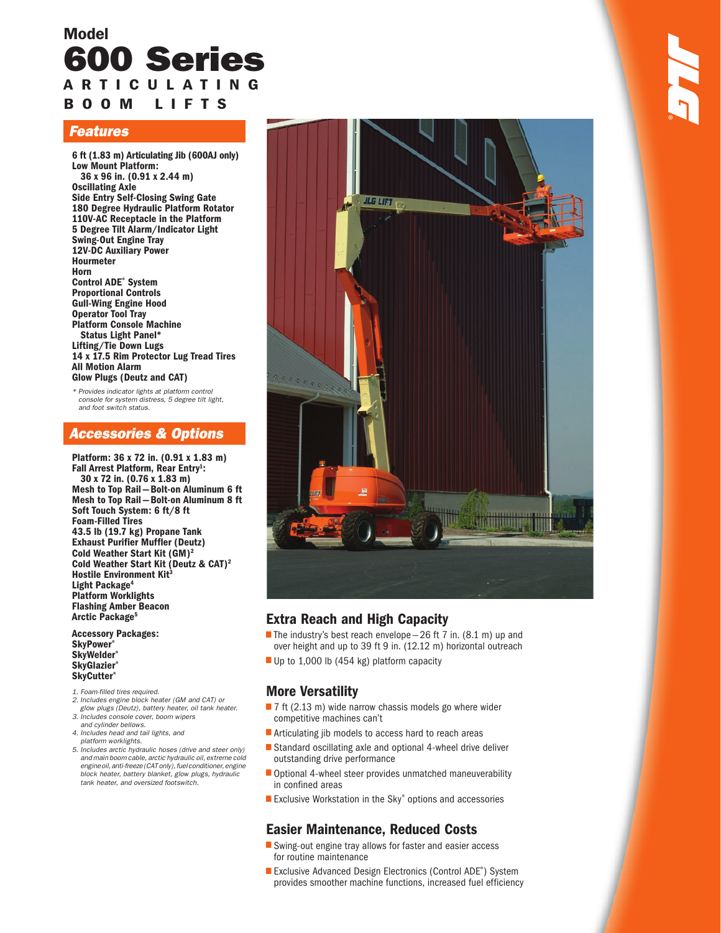## Model 600 Series A R T I C U L A T I N G B O O M L I F T S

## Features

6 ft (1.83 m) Articulating Jib (600AJ only) Low Mount Platform: 36 x 96 in. (0.91 x 2.44 m) Oscillating Axle Side Entry Self-Closing Swing Gate 180 Degree Hydraulic Platform Rotator 110V-AC Receptacle in the Platform 5 Degree Tilt Alarm/Indicator Light Swing-Out Engine Tray 12V-DC Auxiliary Power Hourmeter Horn Control ADE® System Proportional Controls Gull-Wing Engine Hood Operator Tool Tray Platform Console Machine Status Light Panel\* Lifting/Tie Down Lugs 14 x 17.5 Rim Protector Lug Tread Tires All Motion Alarm Glow Plugs (Deutz and CAT)

\* Provides indicator lights at platform control console for system distress, 5 degree tilt light, and foot switch status.

## Accessories & Options

Platform: 36 x 72 in. (0.91 x 1.83 m) Fall Arrest Platform, Rear Entry<sup>1</sup>: 30 x 72 in. (0.76 x 1.83 m) Mesh to Top Rail — Bolt-on Aluminum 6 ft Mesh to Top Rail — Bolt-on Aluminum 8 ft Soft Touch System: 6 ft/8 ft Foam-Filled Tires 43.5 lb (19.7 kg) Propane Tank Exhaust Purifier Muffler (Deutz) Cold Weather Start Kit (GM)2 Cold Weather Start Kit (Deutz & CAT)2 Hostile Environment Kit<sup>3</sup> Light Package<sup>4</sup> Platform Worklights Flashing Amber Beacon Arctic Package<sup>5</sup>

Accessory Packages: **SkyPower®** SkyWelder® **SkyGlazier®** SkyCutter<sup>®</sup>

- 1. Foam-filled tires required.
- 2. Includes engine block heater (GM and CAT) or glow plugs (Deutz), battery heater, oil tank heater. 3. Includes console cover, boom wipers
- and cylinder bellows. 4. Includes head and tail lights, and
- platform worklights.
- 5. Includes arctic hydraulic hoses (drive and steer only) and main boom cable, arctic hydraulic oil, extreme cold engine oil, anti-freeze (CAT only), fuel conditioner, engine block heater, battery blanket, glow plugs, hydraulic tank heater, and oversized footswitch.



## Extra Reach and High Capacity

- The industry's best reach envelope  $-26$  ft 7 in. (8.1 m) up and over height and up to 39 ft 9 in. (12.12 m) horizontal outreach •
- Up to 1,000 lb (454 kg) platform capacity

## More Versatility

- |<br>|<br>|  $\blacksquare$  7 ft (2.13 m) wide narrow chassis models go where wider competitive machines can't
- **Articulating jib models to access hard to reach areas**
- • Standard oscillating axle and optional 4-wheel drive deliver outstanding drive performance
- Optional 4-wheel steer provides unmatched maneuverability in confined areas •
- Exclusive Workstation in the Sky® options and accessories

## Easier Maintenance, Reduced Costs

- Swing-out engine tray allows for faster and easier access for routine maintenance
- Exclusive Advanced Design Electronics (Control ADE® ) System provides smoother machine functions, increased fuel efficiency